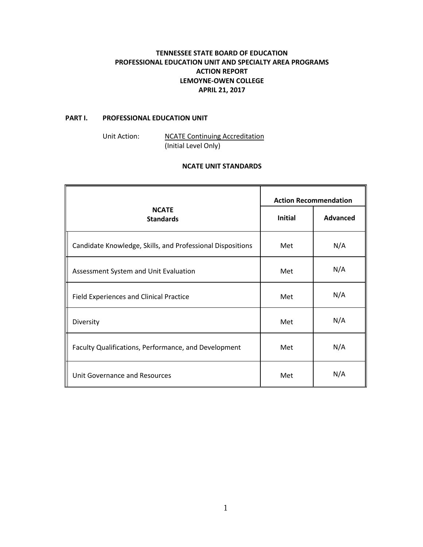# **TENNESSEE STATE BOARD OF EDUCATION PROFESSIONAL EDUCATION UNIT AND SPECIALTY AREA PROGRAMS ACTION REPORT LEMOYNE-OWEN COLLEGE APRIL 21, 2017**

## **PART I. PROFESSIONAL EDUCATION UNIT**

Unit Action: NCATE Continuing Accreditation (Initial Level Only)

## **NCATE UNIT STANDARDS**

|                                                            | <b>Action Recommendation</b> |                 |
|------------------------------------------------------------|------------------------------|-----------------|
| <b>NCATE</b><br><b>Standards</b>                           | <b>Initial</b>               | <b>Advanced</b> |
| Candidate Knowledge, Skills, and Professional Dispositions | Met                          | N/A             |
| Assessment System and Unit Evaluation                      | Met                          | N/A             |
| Field Experiences and Clinical Practice                    | Met                          | N/A             |
| Diversity                                                  | Met                          | N/A             |
| Faculty Qualifications, Performance, and Development       | Met                          | N/A             |
| Unit Governance and Resources                              | Met                          | N/A             |